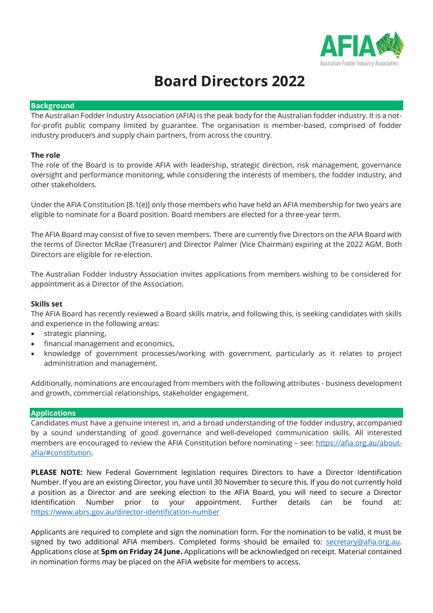

# **Board Directors 2022**

#### **Background**

The Australian Fodder Industry Association (AFIA) is the peak body for the Australian fodder industry. It is a notfor-profit public company limited by guarantee. The organisation is member-based, comprised of fodder industry producers and supply chain partners, from across the country.

### **The role**

The role of the Board is to provide AFIA with leadership, strategic direction, risk management, governance oversight and performance monitoring, while considering the interests of members, the fodder industry, and other stakeholders.

Under the AFIA Constitution [8.1(e)] only those members who have held an AFIA membership for two years are eligible to nominate for a Board position. Board members are elected for a three-year term.

The AFIA Board may consist of five to seven members. There are currently five Directors on the AFIA Board with the terms of Director McRae (Treasurer) and Director Palmer (Vice Chairman) expiring at the 2022 AGM. Both Directors are eligible for re-election.

The Australian Fodder Industry Association invites applications from members wishing to be considered for appointment as a Director of the Association.

#### **Skills set**

The AFIA Board has recently reviewed a Board skills matrix, and following this, is seeking candidates with skills and experience in the following areas:

- strategic planning,
- financial management and economics,
- knowledge of government processes/working with government, particularly as it relates to project administration and management.

Additionally, nominations are encouraged from members with the following attributes - business development and growth, commercial relationships, stakeholder engagement.

### **Applications**

Candidates must have a genuine interest in, and a broad understanding of the fodder industry, accompanied by a sound understanding of good governance and well-developed communication skills. All interested members are encouraged to review the AFIA Constitution before nominating – see: [https://afia.org.au/about](https://afia.org.au/about-afia/#constitution)[afia/#constitution.](https://afia.org.au/about-afia/#constitution)

**PLEASE NOTE:** New Federal Government legislation requires Directors to have a Director Identification Number. If you are an existing Director, you have until 30 November to secure this. If you do not currently hold a position as a Director and are seeking election to the AFIA Board, you will need to secure a Director Identification Number prior to your appointment. Further details can be found at: <https://www.abrs.gov.au/director-identification-number>

Applicants are required to complete and sign the nomination form. For the nomination to be valid, it must be signed by two additional AFIA members. Completed forms should be emailed to: [secretary@afia.org.au.](mailto:secretary@afia.org.au) Applications close at **5pm on Friday 24 June.** Applications will be acknowledged on receipt. Material contained in nomination forms may be placed on the AFIA website for members to access.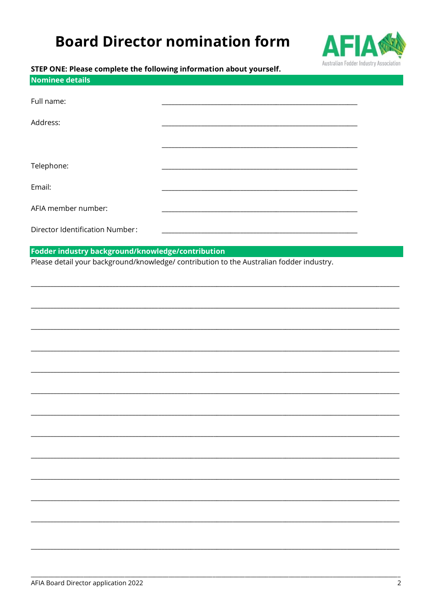# **Board Director nomination form**



### STEP ONE: Please complete the following information about yourself.

| Nominee details                 |  |
|---------------------------------|--|
| Full name:                      |  |
| Address:                        |  |
|                                 |  |
| Telephone:                      |  |
| Email:                          |  |
| AFIA member number:             |  |
| Director Identification Number: |  |

## Fodder industry background/knowledge/contribution

Please detail your background/knowledge/ contribution to the Australian fodder industry.